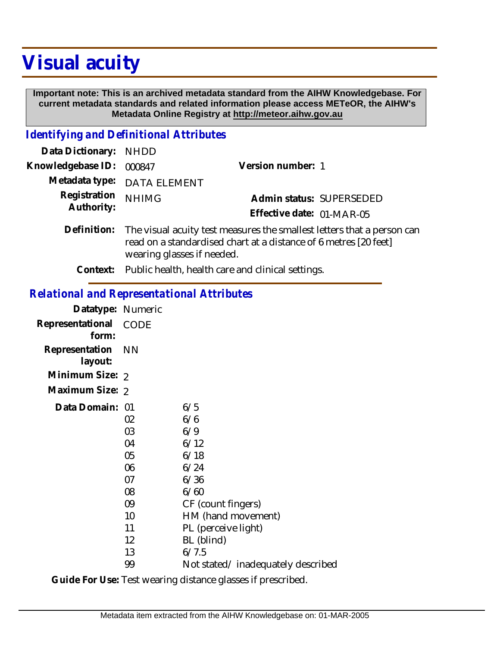# **Visual acuity**

 **Important note: This is an archived metadata standard from the AIHW Knowledgebase. For current metadata standards and related information please access METeOR, the AIHW's Metadata Online Registry at http://meteor.aihw.gov.au**

### *Identifying and Definitional Attributes*

| Data Dictionary: NHDD      |                                                                                                                                                                          |                           |                          |
|----------------------------|--------------------------------------------------------------------------------------------------------------------------------------------------------------------------|---------------------------|--------------------------|
| Knowledgebase ID:          | 000847                                                                                                                                                                   | Version number: 1         |                          |
|                            | Metadata type: DATA ELEMENT                                                                                                                                              |                           |                          |
| Registration<br>Authority: | <b>NHIMG</b>                                                                                                                                                             |                           | Admin status: SUPERSEDED |
|                            |                                                                                                                                                                          | Effective date: 01-MAR-05 |                          |
| Definition:                | The visual acuity test measures the smallest letters that a person can<br>read on a standardised chart at a distance of 6 metres [20 feet]<br>wearing glasses if needed. |                           |                          |
|                            |                                                                                                                                                                          |                           |                          |

**Context:** Public health, health care and clinical settings.

### *Relational and Representational Attributes*

| Datatype: Numeric         |                                                                      |                                                                                                                                                     |
|---------------------------|----------------------------------------------------------------------|-----------------------------------------------------------------------------------------------------------------------------------------------------|
| Representational<br>form: | CODE                                                                 |                                                                                                                                                     |
| Representation<br>layout: | <b>NN</b>                                                            |                                                                                                                                                     |
| Minimum Size: 2           |                                                                      |                                                                                                                                                     |
| Maximum Size: 2           |                                                                      |                                                                                                                                                     |
| Data Domain: 01           | 02<br>03<br>04<br>05<br>06<br>07<br>08<br>09<br>10<br>11<br>12<br>13 | 6/5<br>6/6<br>6/9<br>6/12<br>6/18<br>6/24<br>6/36<br>6/60<br>CF (count fingers)<br>HM (hand movement)<br>PL (perceive light)<br>BL (blind)<br>6/7.5 |
|                           | 99                                                                   | Not stated/inadequately described                                                                                                                   |

Guide For Use: Test wearing distance glasses if prescribed.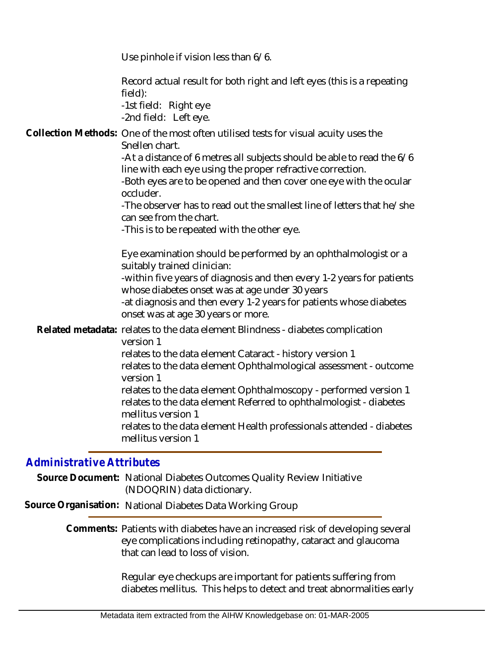Use pinhole if vision less than 6/6.

Record actual result for both right and left eyes (this is a repeating field):

-1st field: Right eye -2nd field: Left eye.

Collection Methods: One of the most often utilised tests for visual acuity uses the Snellen chart.

> -At a distance of 6 metres all subjects should be able to read the 6/6 line with each eye using the proper refractive correction.

> -Both eyes are to be opened and then cover one eye with the ocular occluder.

> -The observer has to read out the smallest line of letters that he/she can see from the chart.

-This is to be repeated with the other eye.

Eye examination should be performed by an ophthalmologist or a suitably trained clinician:

-within five years of diagnosis and then every 1-2 years for patients whose diabetes onset was at age under 30 years

-at diagnosis and then every 1-2 years for patients whose diabetes onset was at age 30 years or more.

Related metadata: relates to the data element Blindness - diabetes complication version 1

relates to the data element Cataract - history version 1

relates to the data element Ophthalmological assessment - outcome version 1

relates to the data element Ophthalmoscopy - performed version 1 relates to the data element Referred to ophthalmologist - diabetes mellitus version 1

relates to the data element Health professionals attended - diabetes mellitus version 1

## *Administrative Attributes*

Source Document: National Diabetes Outcomes Quality Review Initiative (NDOQRIN) data dictionary.

**Source Organisation:** National Diabetes Data Working Group

Comments: Patients with diabetes have an increased risk of developing several eye complications including retinopathy, cataract and glaucoma that can lead to loss of vision.

> Regular eye checkups are important for patients suffering from diabetes mellitus. This helps to detect and treat abnormalities early